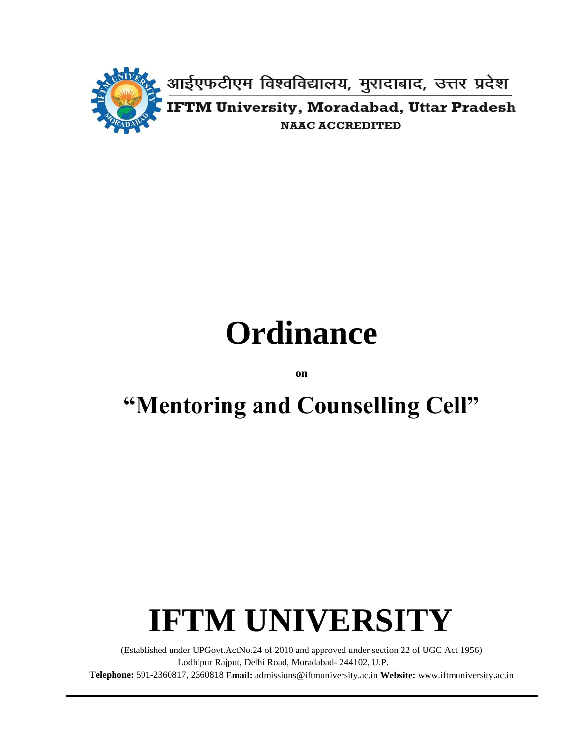

# **Ordinance**

**on**

# **"Mentoring and Counselling Cell"**

# **IFTM UNIVERSITY**

(Established under UPGovt.ActNo.24 of 2010 and approved under section 22 of UGC Act 1956) Lodhipur Rajput, Delhi Road, Moradabad- 244102, U.P. **Telephone:** 591-2360817, 2360818 **Email:** [admissions@iftmuniversity.ac.in](mailto:admissions@iftmuniversity.ac.in) **Website:** www.iftmuniversity.ac.in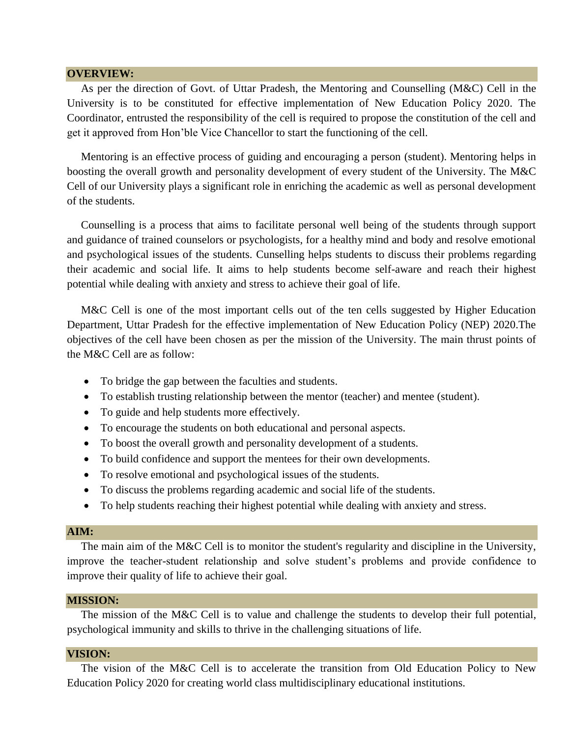#### **OVERVIEW:**

 As per the direction of Govt. of Uttar Pradesh, the Mentoring and Counselling (M&C) Cell in the University is to be constituted for effective implementation of New Education Policy 2020. The Coordinator, entrusted the responsibility of the cell is required to propose the constitution of the cell and get it approved from Hon'ble Vice Chancellor to start the functioning of the cell.

 Mentoring is an effective process of guiding and encouraging a person (student). Mentoring helps in boosting the overall growth and personality development of every student of the University. The M&C Cell of our University plays a significant role in enriching the academic as well as personal development of the students.

 Counselling is a process that aims to facilitate personal well being of the students through support and guidance of trained counselors or psychologists, for a healthy mind and body and resolve emotional and psychological issues of the students. Cunselling helps students to discuss their problems regarding their academic and social life. It aims to help students become self-aware and reach their highest potential while dealing with anxiety and stress to achieve their goal of life.

 M&C Cell is one of the most important cells out of the ten cells suggested by Higher Education Department, Uttar Pradesh for the effective implementation of New Education Policy (NEP) 2020.The objectives of the cell have been chosen as per the mission of the University. The main thrust points of the M&C Cell are as follow:

- To bridge the gap between the faculties and students.
- To establish trusting relationship between the mentor (teacher) and mentee (student).
- To guide and help students more effectively.
- To encourage the students on both educational and personal aspects.
- To boost the overall growth and personality development of a students.
- To build confidence and support the mentees for their own developments.
- To resolve emotional and psychological issues of the students.
- To discuss the problems regarding academic and social life of the students.
- To help students reaching their highest potential while dealing with anxiety and stress.

#### **AIM:**

The main aim of the M&C Cell is to monitor the student's regularity and discipline in the University, improve the teacher-student relationship and solve student's problems and provide confidence to improve their quality of life to achieve their goal.

#### **MISSION:**

 The mission of the M&C Cell is to value and challenge the students to develop their full potential, psychological immunity and skills to thrive in the challenging situations of life.

#### **VISION:**

 The vision of the M&C Cell is to accelerate the transition from Old Education Policy to New Education Policy 2020 for creating world class multidisciplinary educational institutions.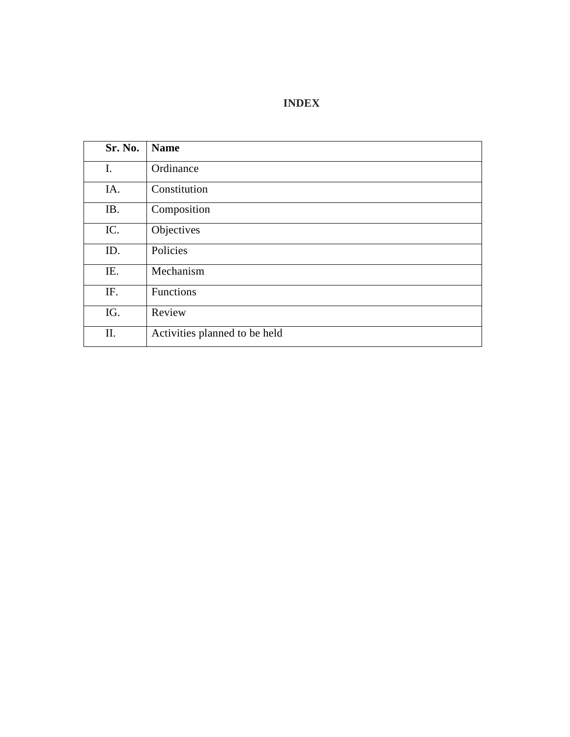### **INDEX**

| Sr. No. | <b>Name</b>                   |
|---------|-------------------------------|
| I.      | Ordinance                     |
| IA.     | Constitution                  |
| IB.     | Composition                   |
| IC.     | Objectives                    |
| ID.     | Policies                      |
| IE.     | Mechanism                     |
| IF.     | Functions                     |
| IG.     | Review                        |
| Π.      | Activities planned to be held |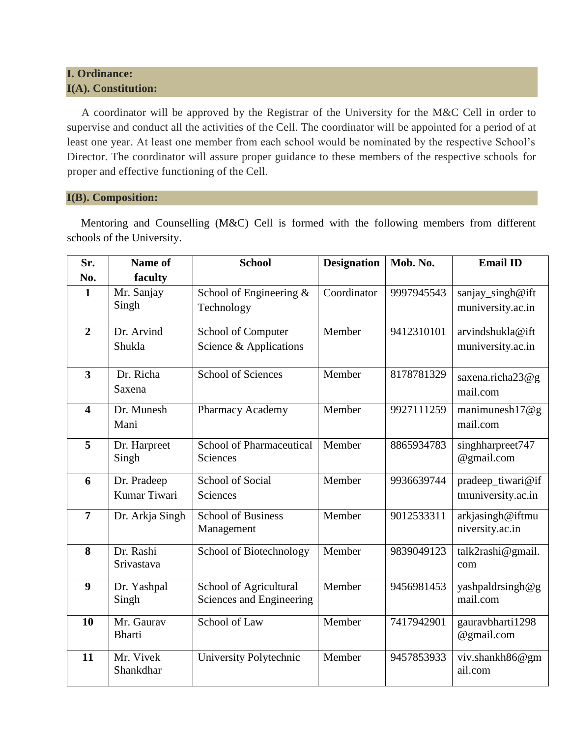### **I. Ordinance: I(A). Constitution:**

 A coordinator will be approved by the Registrar of the University for the M&C Cell in order to supervise and conduct all the activities of the Cell. The coordinator will be appointed for a period of at least one year. At least one member from each school would be nominated by the respective School's Director. The coordinator will assure proper guidance to these members of the respective schools for proper and effective functioning of the Cell.

#### **I(B). Composition:**

 Mentoring and Counselling (M&C) Cell is formed with the following members from different schools of the University.

| Sr.                     | Name of                 | <b>School</b>                           | <b>Designation</b> | Mob. No.   | <b>Email ID</b>                       |
|-------------------------|-------------------------|-----------------------------------------|--------------------|------------|---------------------------------------|
| No.                     | faculty                 |                                         |                    |            |                                       |
| $\mathbf{1}$            | Mr. Sanjay<br>Singh     | School of Engineering &<br>Technology   | Coordinator        | 9997945543 | sanjay_singh@ift<br>muniversity.ac.in |
|                         |                         |                                         |                    |            |                                       |
| $\overline{2}$          | Dr. Arvind              | School of Computer                      | Member             | 9412310101 | arvindshukla@ift                      |
|                         | Shukla                  | Science & Applications                  |                    |            | muniversity.ac.in                     |
| $\overline{\mathbf{3}}$ | Dr. Richa               | <b>School of Sciences</b>               | Member             | 8178781329 | saxena.richa23@g                      |
|                         | Saxena                  |                                         |                    |            | mail.com                              |
| $\overline{\mathbf{4}}$ | Dr. Munesh              | Pharmacy Academy                        | Member             | 9927111259 | manimunesh $17@g$                     |
|                         | Mani                    |                                         |                    |            | mail.com                              |
| $\overline{\mathbf{5}}$ | Dr. Harpreet            | School of Pharmaceutical                | Member             | 8865934783 | $\overline{\text{sing}}$ hharpreet747 |
|                         | Singh                   | Sciences                                |                    |            | @gmail.com                            |
| 6                       | Dr. Pradeep             | <b>School of Social</b>                 | Member             | 9936639744 | pradeep_tiwari@if                     |
|                         | Kumar Tiwari            | Sciences                                |                    |            | tmuniversity.ac.in                    |
| $\overline{7}$          | Dr. Arkja Singh         | <b>School of Business</b><br>Management | Member             | 9012533311 | arkjasingh@iftmu<br>niversity.ac.in   |
|                         |                         |                                         |                    |            |                                       |
| 8                       | Dr. Rashi<br>Srivastava | School of Biotechnology                 | Member             | 9839049123 | talk2rashi@gmail.<br>com              |
|                         |                         |                                         |                    |            |                                       |
| 9                       | Dr. Yashpal             | School of Agricultural                  | Member             | 9456981453 | yashpaldrsingh@g<br>mail.com          |
|                         | Singh                   | Sciences and Engineering                |                    |            |                                       |
| 10                      | Mr. Gaurav              | School of Law                           | Member             | 7417942901 | gauravbharti1298                      |
|                         | <b>Bharti</b>           |                                         |                    |            | @gmail.com                            |
| 11                      | Mr. Vivek               | University Polytechnic                  | Member             | 9457853933 | viv.shankh86@gm                       |
|                         | Shankdhar               |                                         |                    |            | ail.com                               |
|                         |                         |                                         |                    |            |                                       |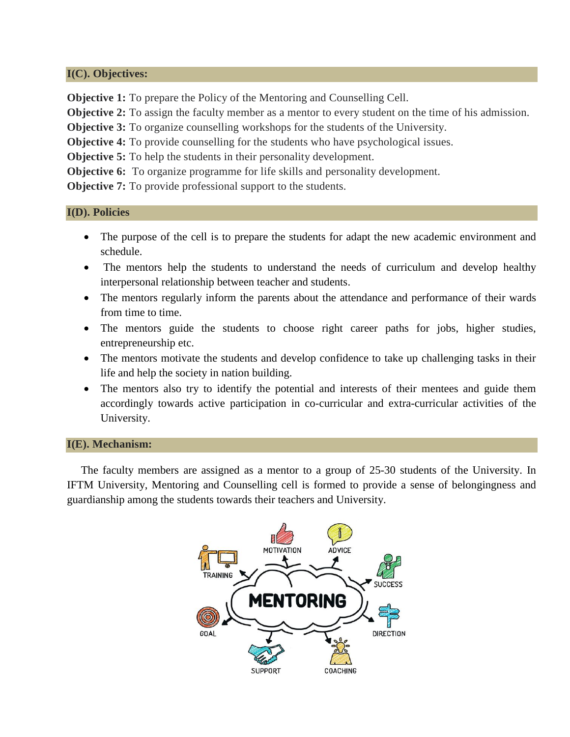#### **I(C). Objectives:**

**Objective 1:** To prepare the Policy of the Mentoring and Counselling Cell.

**Objective 2:** To assign the faculty member as a mentor to every student on the time of his admission.

**Objective 3:** To organize counselling workshops for the students of the University.

**Objective 4:** To provide counselling for the students who have psychological issues.

**Objective 5:** To help the students in their personality development.

**Objective 6:** To organize programme for life skills and personality development.

**Objective 7:** To provide professional support to the students.

#### **I(D). Policies**

- The purpose of the cell is to prepare the students for adapt the new academic environment and schedule.
- The mentors help the students to understand the needs of curriculum and develop healthy interpersonal relationship between teacher and students.
- The mentors regularly inform the parents about the attendance and performance of their wards from time to time.
- The mentors guide the students to choose right career paths for jobs, higher studies, entrepreneurship etc.
- The mentors motivate the students and develop confidence to take up challenging tasks in their life and help the society in nation building.
- The mentors also try to identify the potential and interests of their mentees and guide them accordingly towards active participation in co-curricular and extra-curricular activities of the University.

#### **I(E). Mechanism:**

 The faculty members are assigned as a mentor to a group of 25-30 students of the University. In IFTM University, Mentoring and Counselling cell is formed to provide a sense of belongingness and guardianship among the students towards their teachers and University.

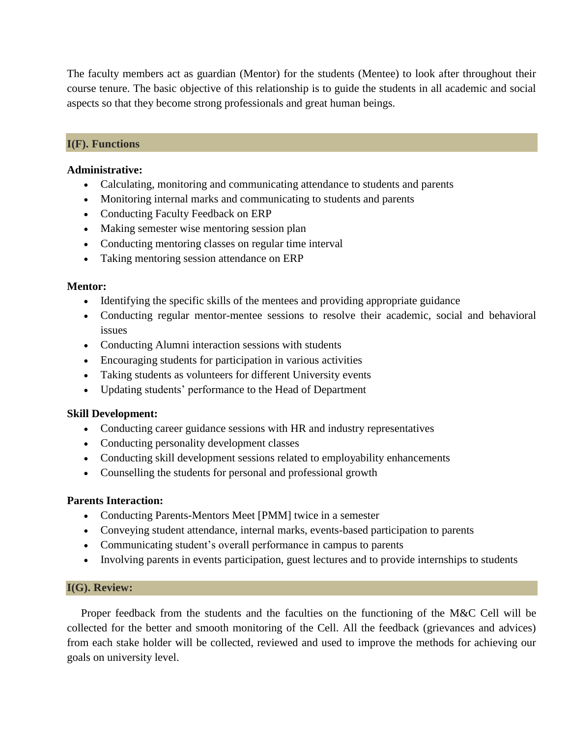The faculty members act as guardian (Mentor) for the students (Mentee) to look after throughout their course tenure. The basic objective of this relationship is to guide the students in all academic and social aspects so that they become strong professionals and great human beings.

#### **I(F). Functions**

#### **Administrative:**

- Calculating, monitoring and communicating attendance to students and parents
- Monitoring internal marks and communicating to students and parents
- Conducting Faculty Feedback on ERP
- Making semester wise mentoring session plan
- Conducting mentoring classes on regular time interval
- Taking mentoring session attendance on ERP

#### **Mentor:**

- Identifying the specific skills of the mentees and providing appropriate guidance
- Conducting regular mentor-mentee sessions to resolve their academic, social and behavioral issues
- Conducting Alumni interaction sessions with students
- Encouraging students for participation in various activities
- Taking students as volunteers for different University events
- Updating students' performance to the Head of Department

#### **Skill Development:**

- Conducting career guidance sessions with HR and industry representatives
- Conducting personality development classes
- Conducting skill development sessions related to employability enhancements
- Counselling the students for personal and professional growth

#### **Parents Interaction:**

- Conducting Parents-Mentors Meet [PMM] twice in a semester
- Conveying student attendance, internal marks, events-based participation to parents
- Communicating student's overall performance in campus to parents
- Involving parents in events participation, guest lectures and to provide internships to students

#### **I(G). Review:**

 Proper feedback from the students and the faculties on the functioning of the M&C Cell will be collected for the better and smooth monitoring of the Cell. All the feedback (grievances and advices) from each stake holder will be collected, reviewed and used to improve the methods for achieving our goals on university level.